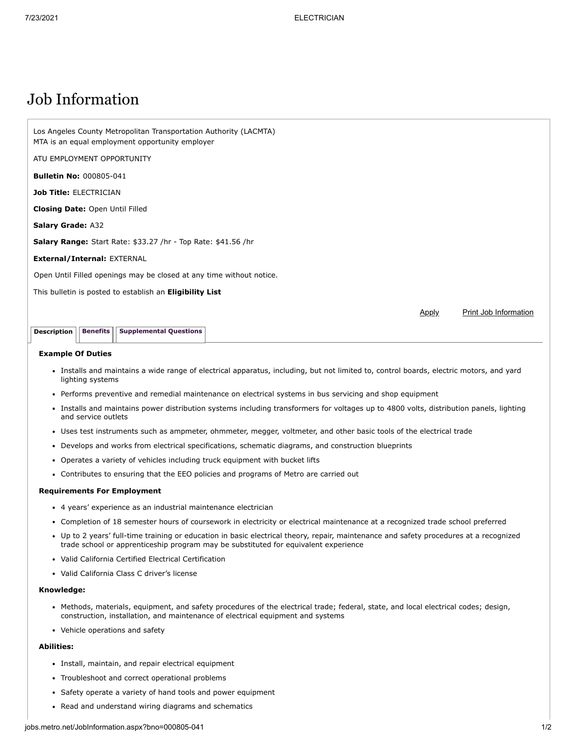# Job Information

Los Angeles County Metropolitan Transportation Authority (LACMTA) MTA is an equal employment opportunity employer

ATU EMPLOYMENT OPPORTUNITY

**Bulletin No:** 000805-041

**Job Title:** ELECTRICIAN

**Closing Date:** Open Until Filled

**Salary Grade:** A32

**Salary Range:** Start Rate: \$33.27 /hr - Top Rate: \$41.56 /hr

## **External/Internal:** EXTERNAL

Open Until Filled openings may be closed at any time without notice.

This bulletin is posted to establish an **Eligibility List**

**Description [Benefits](http://jobs.metro.net/JobInformation.aspx?tab=benifits) [Supplemental Questions](http://jobs.metro.net/JobInformation.aspx?tab=sup)** 

## **Example Of Duties**

- Installs and maintains a wide range of electrical apparatus, including, but not limited to, control boards, electric motors, and yard lighting systems
- Performs preventive and remedial maintenance on electrical systems in bus servicing and shop equipment
- Installs and maintains power distribution systems including transformers for voltages up to 4800 volts, distribution panels, lighting and service outlets
- Uses test instruments such as ampmeter, ohmmeter, megger, voltmeter, and other basic tools of the electrical trade
- Develops and works from electrical specifications, schematic diagrams, and construction blueprints
- Operates a variety of vehicles including truck equipment with bucket lifts
- Contributes to ensuring that the EEO policies and programs of Metro are carried out

## **Requirements For Employment**

- 4 years' experience as an industrial maintenance electrician
- Completion of 18 semester hours of coursework in electricity or electrical maintenance at a recognized trade school preferred
- Up to 2 years' full-time training or education in basic electrical theory, repair, maintenance and safety procedures at a recognized trade school or apprenticeship program may be substituted for equivalent experience
- Valid California Certified Electrical Certification
- Valid California Class C driver's license

#### **Knowledge:**

- Methods, materials, equipment, and safety procedures of the electrical trade; federal, state, and local electrical codes; design, construction, installation, and maintenance of electrical equipment and systems
- Vehicle operations and safety

# **Abilities:**

- Install, maintain, and repair electrical equipment
- Troubleshoot and correct operational problems
- Safety operate a variety of hand tools and power equipment
- Read and understand wiring diagrams and schematics

Apply Print Job Information